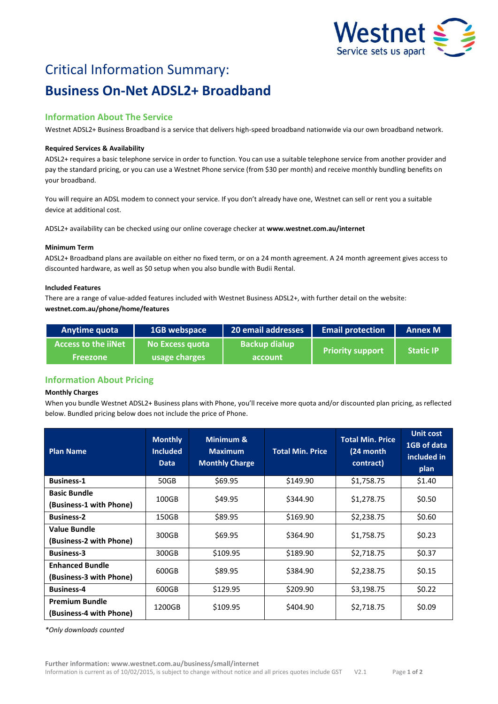

# Critical Information Summary: **Business On-Net ADSL2+ Broadband**

# **Information About The Service**

Westnet ADSL2+ Business Broadband is a service that delivers high-speed broadband nationwide via our own broadband network.

# **Required Services & Availability**

ADSL2+ requires a basic telephone service in order to function. You can use a suitable telephone service from another provider and pay the standard pricing, or you can use a Westnet Phone service (from \$30 per month) and receive monthly bundling benefits on your broadband.

You will require an ADSL modem to connect your service. If you don't already have one, Westnet can sell or rent you a suitable device at additional cost.

ADSL2+ availability can be checked using our online coverage checker at **www.westnet.com.au/internet**

# **Minimum Term**

ADSL2+ Broadband plans are available on either no fixed term, or on a 24 month agreement. A 24 month agreement gives access to discounted hardware, as well as \$0 setup when you also bundle with Budii Rental.

# **Included Features**

There are a range of value-added features included with Westnet Business ADSL2+, with further detail on the website: **westnet.com.au/phone/home/features**

| <b>Anytime quota</b>       | 1GB webspace    | 20 email addresses   | <b>Email protection</b> | <b>Annex M</b>   |
|----------------------------|-----------------|----------------------|-------------------------|------------------|
| <b>Access to the liNet</b> | No Excess quota | <b>Backup dialup</b> | <b>Priority support</b> | <b>Static IP</b> |
| <b>Freezone</b>            | usage charges   | account              |                         |                  |

# **Information About Pricing**

# **Monthly Charges**

When you bundle Westnet ADSL2+ Business plans with Phone, you'll receive more quota and/or discounted plan pricing, as reflected below. Bundled pricing below does not include the price of Phone.

| <b>Plan Name</b>                                  | <b>Monthly</b><br><b>Included</b><br><b>Data</b> | Minimum &<br><b>Maximum</b><br><b>Monthly Charge</b> | <b>Total Min. Price</b> | <b>Total Min. Price</b><br>(24 month<br>contract) | <b>Unit cost</b><br>1GB of data<br>included in<br>plan |
|---------------------------------------------------|--------------------------------------------------|------------------------------------------------------|-------------------------|---------------------------------------------------|--------------------------------------------------------|
| <b>Business-1</b>                                 | 50GB                                             | \$69.95                                              | \$149.90                | \$1,758.75                                        | \$1.40                                                 |
| <b>Basic Bundle</b><br>(Business-1 with Phone)    | 100GB                                            | \$49.95                                              | \$344.90                | \$1,278.75                                        | \$0.50                                                 |
| <b>Business-2</b>                                 | 150GB                                            | \$89.95                                              | \$169.90                | \$2,238.75                                        | \$0.60                                                 |
| Value Bundle<br>(Business-2 with Phone)           | 300GB                                            | \$69.95                                              | \$364.90                | \$1,758.75                                        | \$0.23                                                 |
| <b>Business-3</b>                                 | 300GB                                            | \$109.95                                             | \$189.90                | \$2,718.75                                        | \$0.37                                                 |
| <b>Enhanced Bundle</b><br>(Business-3 with Phone) | 600GB                                            | \$89.95                                              | \$384.90                | \$2,238.75                                        | \$0.15                                                 |
| <b>Business-4</b>                                 | 600GB                                            | \$129.95                                             | \$209.90                | \$3,198.75                                        | \$0.22                                                 |
| <b>Premium Bundle</b><br>(Business-4 with Phone)  | 1200GB                                           | \$109.95                                             | \$404.90                | \$2,718.75                                        | \$0.09                                                 |

*\*Only downloads counted*